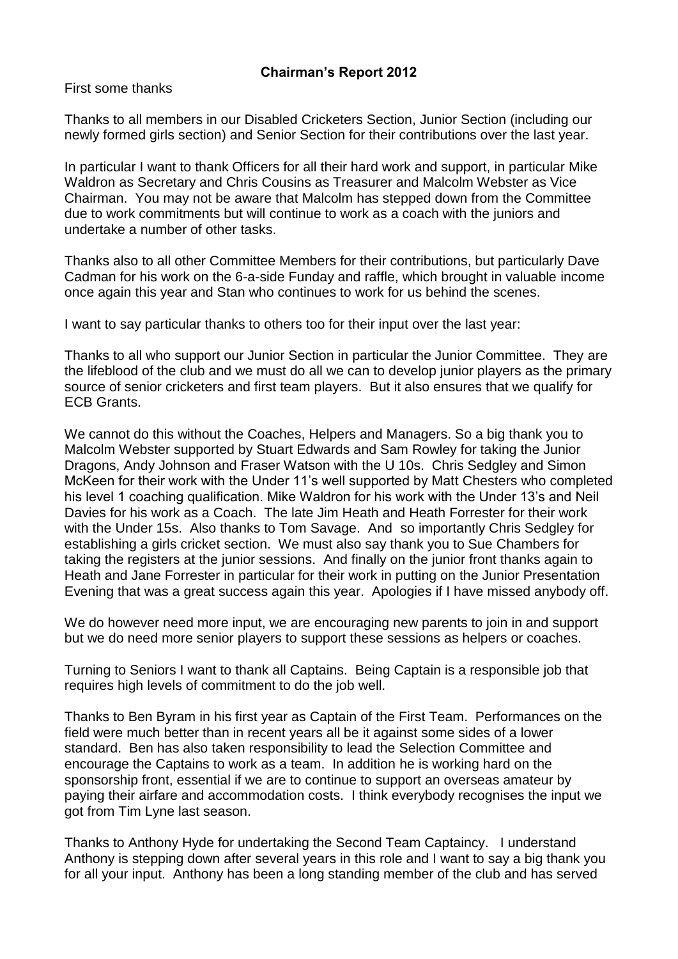## **Chairman's Report 2012**

First some thanks

Thanks to all members in our Disabled Cricketers Section, Junior Section (including our newly formed girls section) and Senior Section for their contributions over the last year.

In particular I want to thank Officers for all their hard work and support, in particular Mike Waldron as Secretary and Chris Cousins as Treasurer and Malcolm Webster as Vice Chairman. You may not be aware that Malcolm has stepped down from the Committee due to work commitments but will continue to work as a coach with the juniors and undertake a number of other tasks.

Thanks also to all other Committee Members for their contributions, but particularly Dave Cadman for his work on the 6-a-side Funday and raffle, which brought in valuable income once again this year and Stan who continues to work for us behind the scenes.

I want to say particular thanks to others too for their input over the last year:

Thanks to all who support our Junior Section in particular the Junior Committee. They are the lifeblood of the club and we must do all we can to develop junior players as the primary source of senior cricketers and first team players. But it also ensures that we qualify for ECB Grants.

We cannot do this without the Coaches, Helpers and Managers. So a big thank you to Malcolm Webster supported by Stuart Edwards and Sam Rowley for taking the Junior Dragons, Andy Johnson and Fraser Watson with the U 10s. Chris Sedgley and Simon McKeen for their work with the Under 11's well supported by Matt Chesters who completed his level 1 coaching qualification. Mike Waldron for his work with the Under 13's and Neil Davies for his work as a Coach. The late Jim Heath and Heath Forrester for their work with the Under 15s. Also thanks to Tom Savage. And so importantly Chris Sedgley for establishing a girls cricket section. We must also say thank you to Sue Chambers for taking the registers at the junior sessions. And finally on the junior front thanks again to Heath and Jane Forrester in particular for their work in putting on the Junior Presentation Evening that was a great success again this year. Apologies if I have missed anybody off.

We do however need more input, we are encouraging new parents to join in and support but we do need more senior players to support these sessions as helpers or coaches.

Turning to Seniors I want to thank all Captains. Being Captain is a responsible job that requires high levels of commitment to do the job well.

Thanks to Ben Byram in his first year as Captain of the First Team. Performances on the field were much better than in recent years all be it against some sides of a lower standard. Ben has also taken responsibility to lead the Selection Committee and encourage the Captains to work as a team. In addition he is working hard on the sponsorship front, essential if we are to continue to support an overseas amateur by paying their airfare and accommodation costs. I think everybody recognises the input we got from Tim Lyne last season.

Thanks to Anthony Hyde for undertaking the Second Team Captaincy. I understand Anthony is stepping down after several years in this role and I want to say a big thank you for all your input. Anthony has been a long standing member of the club and has served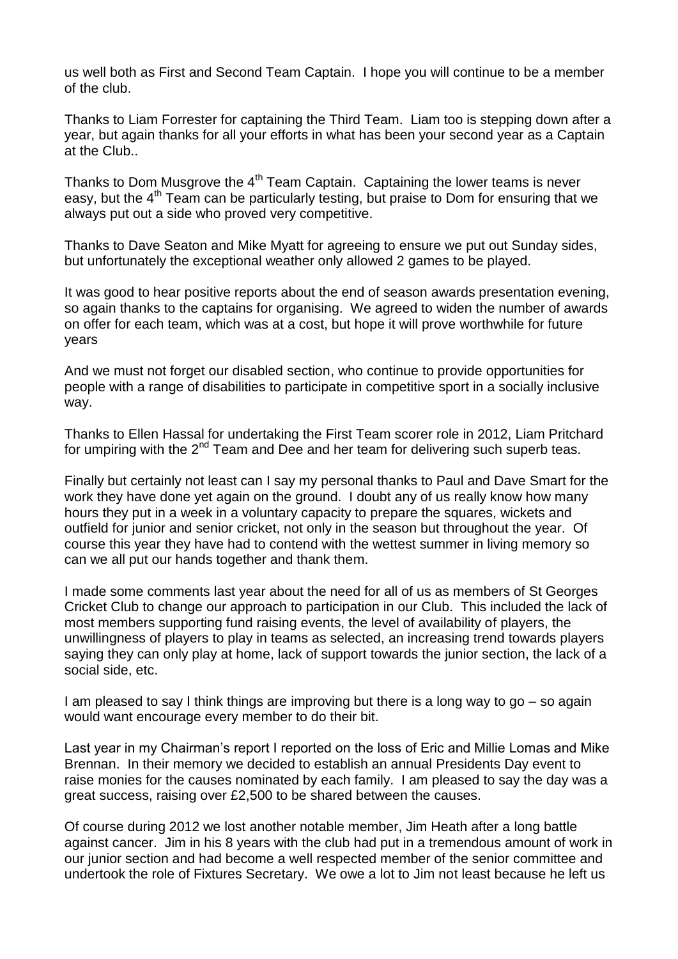us well both as First and Second Team Captain. I hope you will continue to be a member of the club.

Thanks to Liam Forrester for captaining the Third Team. Liam too is stepping down after a year, but again thanks for all your efforts in what has been your second year as a Captain at the Club..

Thanks to Dom Musgrove the  $4<sup>th</sup>$  Team Captain. Captaining the lower teams is never easy, but the  $4<sup>th</sup>$  Team can be particularly testing, but praise to Dom for ensuring that we always put out a side who proved very competitive.

Thanks to Dave Seaton and Mike Myatt for agreeing to ensure we put out Sunday sides, but unfortunately the exceptional weather only allowed 2 games to be played.

It was good to hear positive reports about the end of season awards presentation evening, so again thanks to the captains for organising. We agreed to widen the number of awards on offer for each team, which was at a cost, but hope it will prove worthwhile for future years

And we must not forget our disabled section, who continue to provide opportunities for people with a range of disabilities to participate in competitive sport in a socially inclusive way.

Thanks to Ellen Hassal for undertaking the First Team scorer role in 2012, Liam Pritchard for umpiring with the  $2^{nd}$  Team and Dee and her team for delivering such superb teas.

Finally but certainly not least can I say my personal thanks to Paul and Dave Smart for the work they have done yet again on the ground. I doubt any of us really know how many hours they put in a week in a voluntary capacity to prepare the squares, wickets and outfield for junior and senior cricket, not only in the season but throughout the year. Of course this year they have had to contend with the wettest summer in living memory so can we all put our hands together and thank them.

I made some comments last year about the need for all of us as members of St Georges Cricket Club to change our approach to participation in our Club. This included the lack of most members supporting fund raising events, the level of availability of players, the unwillingness of players to play in teams as selected, an increasing trend towards players saying they can only play at home, lack of support towards the junior section, the lack of a social side, etc.

I am pleased to say I think things are improving but there is a long way to go – so again would want encourage every member to do their bit.

Last year in my Chairman's report I reported on the loss of Eric and Millie Lomas and Mike Brennan. In their memory we decided to establish an annual Presidents Day event to raise monies for the causes nominated by each family. I am pleased to say the day was a great success, raising over £2,500 to be shared between the causes.

Of course during 2012 we lost another notable member, Jim Heath after a long battle against cancer. Jim in his 8 years with the club had put in a tremendous amount of work in our junior section and had become a well respected member of the senior committee and undertook the role of Fixtures Secretary. We owe a lot to Jim not least because he left us